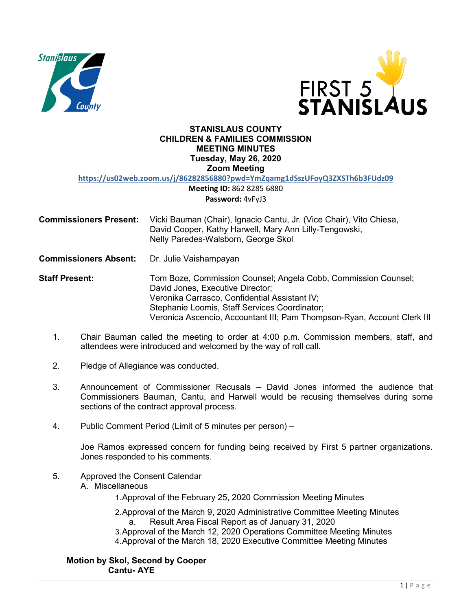



### **STANISLAUS COUNTY CHILDREN & FAMILIES COMMISSION MEETING MINUTES Tuesday, May 26, 2020 Zoom Meeting**

**https://us02web.zoom.us/j/86282856880?pwd=YmZqamg1dSszUFoyQ3ZXSTh6b3FUdz09**

**Meeting ID:** 862 8285 6880 **Password:** 4vFyJ3

| <b>Commissioners Present:</b> | Vicki Bauman (Chair), Ignacio Cantu, Jr. (Vice Chair), Vito Chiesa, |
|-------------------------------|---------------------------------------------------------------------|
|                               | David Cooper, Kathy Harwell, Mary Ann Lilly-Tengowski,              |
|                               | Nelly Paredes-Walsborn, George Skol                                 |

**Commissioners Absent:** Dr. Julie Vaishampayan

**Staff Present:** Tom Boze, Commission Counsel; Angela Cobb, Commission Counsel; David Jones, Executive Director; Veronika Carrasco, Confidential Assistant IV; Stephanie Loomis, Staff Services Coordinator; Veronica Ascencio, Accountant III; Pam Thompson-Ryan, Account Clerk III

- 1. Chair Bauman called the meeting to order at 4:00 p.m. Commission members, staff, and attendees were introduced and welcomed by the way of roll call.
- 2. Pledge of Allegiance was conducted.
- 3. Announcement of Commissioner Recusals David Jones informed the audience that Commissioners Bauman, Cantu, and Harwell would be recusing themselves during some sections of the contract approval process.
- 4. Public Comment Period (Limit of 5 minutes per person) –

Joe Ramos expressed concern for funding being received by First 5 partner organizations. Jones responded to his comments.

- 5. Approved the Consent Calendar
	- A. Miscellaneous

1.Approval of the February 25, 2020 Commission Meeting Minutes

- 2.Approval of the March 9, 2020 Administrative Committee Meeting Minutes a. Result Area Fiscal Report as of January 31, 2020
- 3.Approval of the March 12, 2020 Operations Committee Meeting Minutes
- 4.Approval of the March 18, 2020 Executive Committee Meeting Minutes

**Motion by Skol, Second by Cooper Cantu- AYE**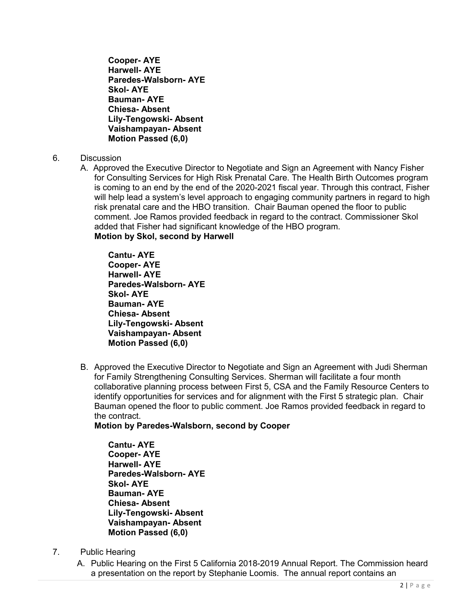**Cooper- AYE Harwell- AYE Paredes-Walsborn- AYE Skol- AYE Bauman- AYE Chiesa- Absent Lily-Tengowski- Absent Vaishampayan- Absent Motion Passed (6,0)**

- 6. Discussion
	- A. Approved the Executive Director to Negotiate and Sign an Agreement with Nancy Fisher for Consulting Services for High Risk Prenatal Care. The Health Birth Outcomes program is coming to an end by the end of the 2020-2021 fiscal year. Through this contract, Fisher will help lead a system's level approach to engaging community partners in regard to high risk prenatal care and the HBO transition. Chair Bauman opened the floor to public comment. Joe Ramos provided feedback in regard to the contract. Commissioner Skol added that Fisher had significant knowledge of the HBO program. **Motion by Skol, second by Harwell**

**Cantu- AYE Cooper- AYE Harwell- AYE Paredes-Walsborn- AYE Skol- AYE Bauman- AYE Chiesa- Absent Lily-Tengowski- Absent Vaishampayan- Absent Motion Passed (6,0)**

B. Approved the Executive Director to Negotiate and Sign an Agreement with Judi Sherman for Family Strengthening Consulting Services. Sherman will facilitate a four month collaborative planning process between First 5, CSA and the Family Resource Centers to identify opportunities for services and for alignment with the First 5 strategic plan. Chair Bauman opened the floor to public comment. Joe Ramos provided feedback in regard to the contract.

**Motion by Paredes-Walsborn, second by Cooper**

**Cantu- AYE Cooper- AYE Harwell- AYE Paredes-Walsborn- AYE Skol- AYE Bauman- AYE Chiesa- Absent Lily-Tengowski- Absent Vaishampayan- Absent Motion Passed (6,0)**

- 7. Public Hearing
	- A. Public Hearing on the First 5 California 2018-2019 Annual Report. The Commission heard a presentation on the report by Stephanie Loomis. The annual report contains an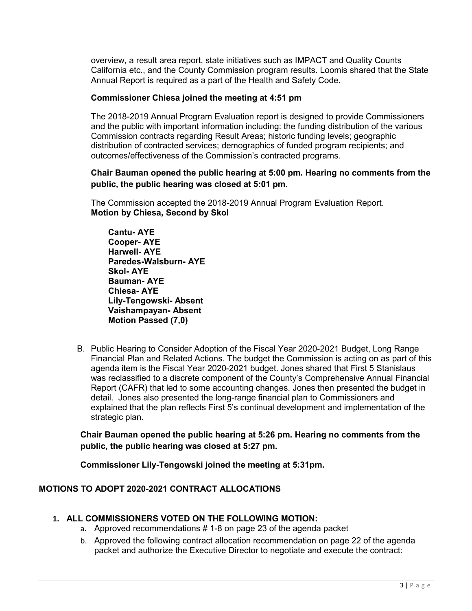overview, a result area report, state initiatives such as IMPACT and Quality Counts California etc., and the County Commission program results. Loomis shared that the State Annual Report is required as a part of the Health and Safety Code.

### **Commissioner Chiesa joined the meeting at 4:51 pm**

The 2018-2019 Annual Program Evaluation report is designed to provide Commissioners and the public with important information including: the funding distribution of the various Commission contracts regarding Result Areas; historic funding levels; geographic distribution of contracted services; demographics of funded program recipients; and outcomes/effectiveness of the Commission's contracted programs.

### **Chair Bauman opened the public hearing at 5:00 pm. Hearing no comments from the public, the public hearing was closed at 5:01 pm.**

The Commission accepted the 2018-2019 Annual Program Evaluation Report. **Motion by Chiesa, Second by Skol** 

**Cantu- AYE Cooper- AYE Harwell- AYE Paredes-Walsburn- AYE Skol- AYE Bauman- AYE Chiesa- AYE Lily-Tengowski- Absent Vaishampayan- Absent Motion Passed (7,0)**

B. Public Hearing to Consider Adoption of the Fiscal Year 2020-2021 Budget, Long Range Financial Plan and Related Actions. The budget the Commission is acting on as part of this agenda item is the Fiscal Year 2020-2021 budget. Jones shared that First 5 Stanislaus was reclassified to a discrete component of the County's Comprehensive Annual Financial Report (CAFR) that led to some accounting changes. Jones then presented the budget in detail. Jones also presented the long-range financial plan to Commissioners and explained that the plan reflects First 5's continual development and implementation of the strategic plan.

**Chair Bauman opened the public hearing at 5:26 pm. Hearing no comments from the public, the public hearing was closed at 5:27 pm.** 

**Commissioner Lily-Tengowski joined the meeting at 5:31pm.** 

## **MOTIONS TO ADOPT 2020-2021 CONTRACT ALLOCATIONS**

### **1. ALL COMMISSIONERS VOTED ON THE FOLLOWING MOTION:**

- a. Approved recommendations # 1-8 on page 23 of the agenda packet
- b. Approved the following contract allocation recommendation on page 22 of the agenda packet and authorize the Executive Director to negotiate and execute the contract: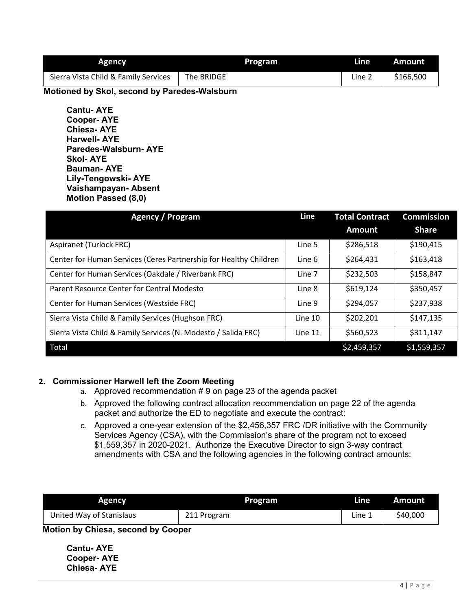| <b>Agency</b>                        | Program    | Line   | Amount    |
|--------------------------------------|------------|--------|-----------|
| Sierra Vista Child & Family Services | The BRIDGE | Line 2 | \$166,500 |

 **Motioned by Skol, second by Paredes-Walsburn**

**Cantu- AYE Cooper- AYE Chiesa- AYE Harwell- AYE Paredes-Walsburn- AYE Skol- AYE Bauman- AYE Lily-Tengowski- AYE Vaishampayan- Absent Motion Passed (8,0)**

| Agency / Program                                                  |         | <b>Total Contract</b> | <b>Commission</b> |  |
|-------------------------------------------------------------------|---------|-----------------------|-------------------|--|
|                                                                   |         | <b>Amount</b>         | <b>Share</b>      |  |
| Aspiranet (Turlock FRC)                                           | Line 5  | \$286,518             | \$190,415         |  |
| Center for Human Services (Ceres Partnership for Healthy Children | Line 6  | \$264,431             | \$163,418         |  |
| Center for Human Services (Oakdale / Riverbank FRC)               | Line 7  | \$232,503             | \$158,847         |  |
| Parent Resource Center for Central Modesto                        | Line 8  | \$619,124             | \$350,457         |  |
| Center for Human Services (Westside FRC)                          | Line 9  | \$294,057             | \$237,938         |  |
| Sierra Vista Child & Family Services (Hughson FRC)                | Line 10 | \$202,201             | \$147,135         |  |
| Sierra Vista Child & Family Services (N. Modesto / Salida FRC)    | Line 11 | \$560,523             | \$311,147         |  |
| Total                                                             |         | \$2,459,357           | \$1,559,357       |  |

# **2. Commissioner Harwell left the Zoom Meeting**

- a. Approved recommendation # 9 on page 23 of the agenda packet
- b. Approved the following contract allocation recommendation on page 22 of the agenda packet and authorize the ED to negotiate and execute the contract:
- c. Approved a one-year extension of the \$2,456,357 FRC /DR initiative with the Community Services Agency (CSA), with the Commission's share of the program not to exceed \$1,559,357 in 2020-2021. Authorize the Executive Director to sign 3-way contract amendments with CSA and the following agencies in the following contract amounts:

| <b>Agency</b>            | Program     | Line   | Amount   |
|--------------------------|-------------|--------|----------|
| United Way of Stanislaus | 211 Program | Line 1 | \$40,000 |

 **Motion by Chiesa, second by Cooper**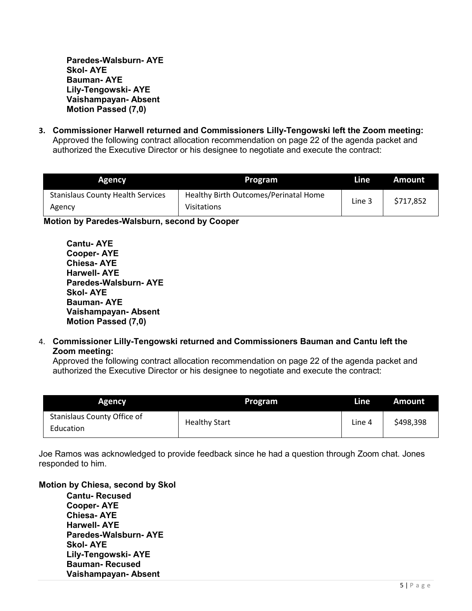**Paredes-Walsburn- AYE Skol- AYE Bauman- AYE Lily-Tengowski- AYE Vaishampayan- Absent Motion Passed (7,0)**

**3. Commissioner Harwell returned and Commissioners Lilly-Tengowski left the Zoom meeting:** Approved the following contract allocation recommendation on page 22 of the agenda packet and authorized the Executive Director or his designee to negotiate and execute the contract:

| <b>Agency</b>                                      | Program                                                     | Line   | Amount    |
|----------------------------------------------------|-------------------------------------------------------------|--------|-----------|
| <b>Stanislaus County Health Services</b><br>Agency | Healthy Birth Outcomes/Perinatal Home<br><b>Visitations</b> | Line 3 | \$717,852 |

 **Motion by Paredes-Walsburn, second by Cooper**

**Cantu- AYE Cooper- AYE Chiesa- AYE Harwell- AYE Paredes-Walsburn- AYE Skol- AYE Bauman- AYE Vaishampayan- Absent Motion Passed (7,0)**

4. **Commissioner Lilly-Tengowski returned and Commissioners Bauman and Cantu left the Zoom meeting:**

Approved the following contract allocation recommendation on page 22 of the agenda packet and authorized the Executive Director or his designee to negotiate and execute the contract:

| <b>Agency</b>                            | Program              | Line   | <b>Amount</b> |
|------------------------------------------|----------------------|--------|---------------|
| Stanislaus County Office of<br>Education | <b>Healthy Start</b> | Line 4 | \$498,398     |

Joe Ramos was acknowledged to provide feedback since he had a question through Zoom chat. Jones responded to him.

**Motion by Chiesa, second by Skol**

**Cantu- Recused Cooper- AYE Chiesa- AYE Harwell- AYE Paredes-Walsburn- AYE Skol- AYE Lily-Tengowski- AYE Bauman- Recused Vaishampayan- Absent**